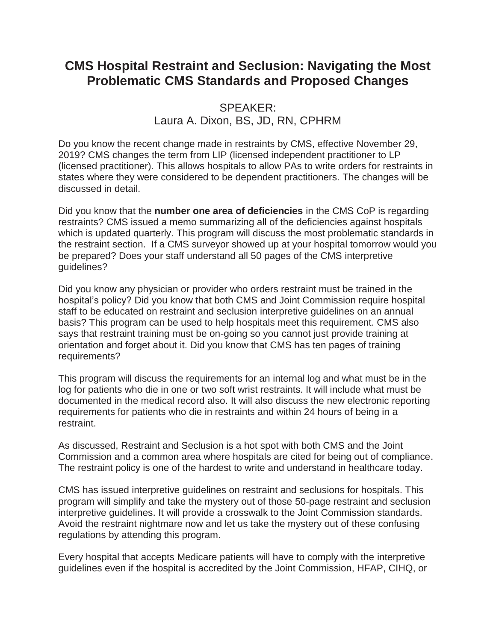# **CMS Hospital Restraint and Seclusion: Navigating the Most Problematic CMS Standards and Proposed Changes**

## SPEAKER: Laura A. Dixon, BS, JD, RN, CPHRM

Do you know the recent change made in restraints by CMS, effective November 29, 2019? CMS changes the term from LIP (licensed independent practitioner to LP (licensed practitioner). This allows hospitals to allow PAs to write orders for restraints in states where they were considered to be dependent practitioners. The changes will be discussed in detail.

Did you know that the **number one area of deficiencies** in the CMS CoP is regarding restraints? CMS issued a memo summarizing all of the deficiencies against hospitals which is updated quarterly. This program will discuss the most problematic standards in the restraint section. If a CMS surveyor showed up at your hospital tomorrow would you be prepared? Does your staff understand all 50 pages of the CMS interpretive guidelines?

Did you know any physician or provider who orders restraint must be trained in the hospital's policy? Did you know that both CMS and Joint Commission require hospital staff to be educated on restraint and seclusion interpretive guidelines on an annual basis? This program can be used to help hospitals meet this requirement. CMS also says that restraint training must be on-going so you cannot just provide training at orientation and forget about it. Did you know that CMS has ten pages of training requirements?

This program will discuss the requirements for an internal log and what must be in the log for patients who die in one or two soft wrist restraints. It will include what must be documented in the medical record also. It will also discuss the new electronic reporting requirements for patients who die in restraints and within 24 hours of being in a restraint.

As discussed, Restraint and Seclusion is a hot spot with both CMS and the Joint Commission and a common area where hospitals are cited for being out of compliance. The restraint policy is one of the hardest to write and understand in healthcare today.

CMS has issued interpretive guidelines on restraint and seclusions for hospitals. This program will simplify and take the mystery out of those 50-page restraint and seclusion interpretive guidelines. It will provide a crosswalk to the Joint Commission standards. Avoid the restraint nightmare now and let us take the mystery out of these confusing regulations by attending this program.

Every hospital that accepts Medicare patients will have to comply with the interpretive guidelines even if the hospital is accredited by the Joint Commission, HFAP, CIHQ, or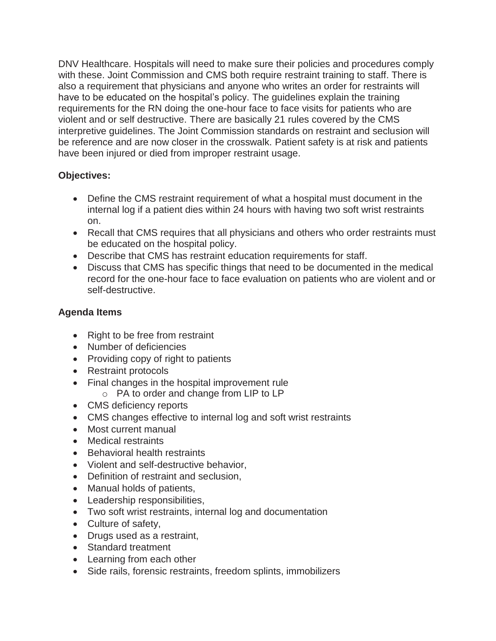DNV Healthcare. Hospitals will need to make sure their policies and procedures comply with these. Joint Commission and CMS both require restraint training to staff. There is also a requirement that physicians and anyone who writes an order for restraints will have to be educated on the hospital's policy. The guidelines explain the training requirements for the RN doing the one-hour face to face visits for patients who are violent and or self destructive. There are basically 21 rules covered by the CMS interpretive guidelines. The Joint Commission standards on restraint and seclusion will be reference and are now closer in the crosswalk. Patient safety is at risk and patients have been injured or died from improper restraint usage.

### **Objectives:**

- Define the CMS restraint requirement of what a hospital must document in the internal log if a patient dies within 24 hours with having two soft wrist restraints on.
- Recall that CMS requires that all physicians and others who order restraints must be educated on the hospital policy.
- Describe that CMS has restraint education requirements for staff.
- Discuss that CMS has specific things that need to be documented in the medical record for the one-hour face to face evaluation on patients who are violent and or self-destructive.

### **Agenda Items**

- Right to be free from restraint
- Number of deficiencies
- Providing copy of right to patients
- Restraint protocols
- Final changes in the hospital improvement rule
	- o PA to order and change from LIP to LP
- CMS deficiency reports
- CMS changes effective to internal log and soft wrist restraints
- Most current manual
- Medical restraints
- Behavioral health restraints
- Violent and self-destructive behavior,
- Definition of restraint and seclusion,
- Manual holds of patients,
- Leadership responsibilities,
- Two soft wrist restraints, internal log and documentation
- Culture of safety,
- Drugs used as a restraint.
- Standard treatment
- Learning from each other
- Side rails, forensic restraints, freedom splints, immobilizers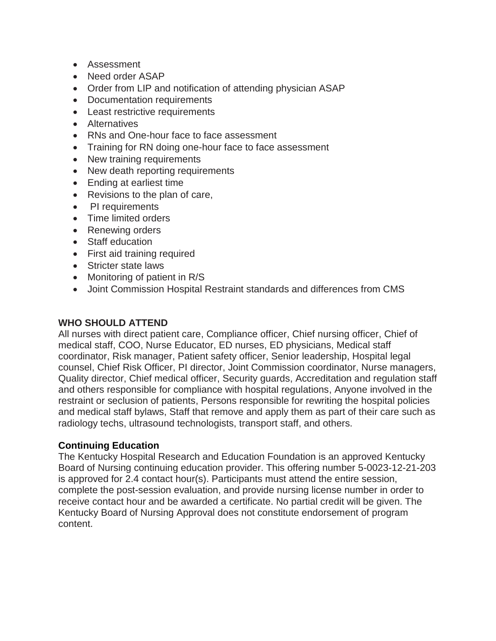- Assessment
- Need order ASAP
- Order from LIP and notification of attending physician ASAP
- Documentation requirements
- Least restrictive requirements
- Alternatives
- RNs and One-hour face to face assessment
- Training for RN doing one-hour face to face assessment
- New training requirements
- New death reporting requirements
- Ending at earliest time
- Revisions to the plan of care,
- PI requirements
- Time limited orders
- Renewing orders
- Staff education
- First aid training required
- Stricter state laws
- Monitoring of patient in R/S
- Joint Commission Hospital Restraint standards and differences from CMS

### **WHO SHOULD ATTEND**

All nurses with direct patient care, Compliance officer, Chief nursing officer, Chief of medical staff, COO, Nurse Educator, ED nurses, ED physicians, Medical staff coordinator, Risk manager, Patient safety officer, Senior leadership, Hospital legal counsel, Chief Risk Officer, PI director, Joint Commission coordinator, Nurse managers, Quality director, Chief medical officer, Security guards, Accreditation and regulation staff and others responsible for compliance with hospital regulations, Anyone involved in the restraint or seclusion of patients, Persons responsible for rewriting the hospital policies and medical staff bylaws, Staff that remove and apply them as part of their care such as radiology techs, ultrasound technologists, transport staff, and others.

### **Continuing Education**

The Kentucky Hospital Research and Education Foundation is an approved Kentucky Board of Nursing continuing education provider. This offering number 5-0023-12-21-203 is approved for 2.4 contact hour(s). Participants must attend the entire session, complete the post-session evaluation, and provide nursing license number in order to receive contact hour and be awarded a certificate. No partial credit will be given. The Kentucky Board of Nursing Approval does not constitute endorsement of program content.